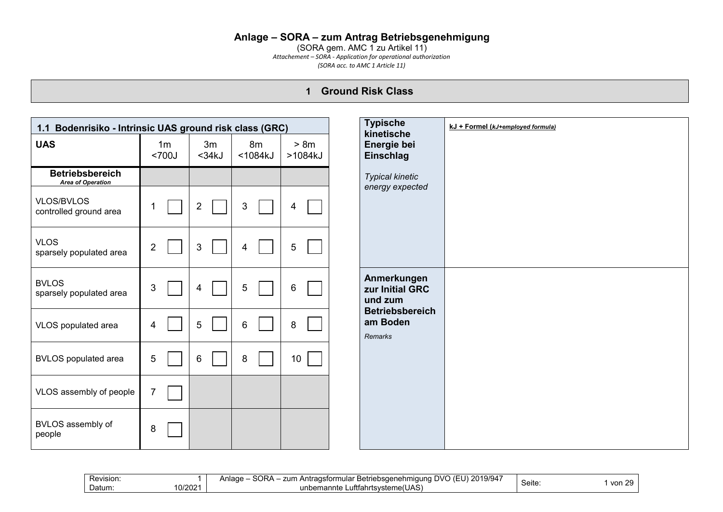#### **Anlage – SORA – zum Antrag Betriebsgenehmigung**

(SORA gem. AMC 1 zu Artikel 11) *Attachement – SORA - Application for operational authorization (SORA acc. to AMC 1 Article 11)*

### **1 Ground Risk Class**

| 1.1 Bodenrisiko - Intrinsic UAS ground risk class (GRC) |                         |                    |                      |                 |
|---------------------------------------------------------|-------------------------|--------------------|----------------------|-----------------|
| <b>UAS</b>                                              | 1 <sub>m</sub><br><700J | 3m<br>$<$ 34 $k$ J | 8m<br>$<$ 1084 $k$ J | > 8m<br>>1084kJ |
| <b>Betriebsbereich</b><br><b>Area of Operation</b>      |                         |                    |                      |                 |
| VLOS/BVLOS<br>controlled ground area                    |                         | $\overline{2}$     | $\mathfrak{S}$       | 4               |
| <b>VLOS</b><br>sparsely populated area                  | 2                       | 3                  | 4                    | 5               |
| <b>BVLOS</b><br>sparsely populated area                 | 3                       | 4                  | 5                    | 6               |
| VLOS populated area                                     | 4                       | 5                  | 6                    | 8               |
| <b>BVLOS</b> populated area                             | 5                       | 6                  | 8                    | 10 <sup>1</sup> |
| VLOS assembly of people                                 | $\overline{7}$          |                    |                      |                 |
| BVLOS assembly of<br>people                             | 8                       |                    |                      |                 |

| ∧ם∩י<br>101017<br>201<br>-<br>ו/\ר<br><br>7um<br>Revision.<br>Antragsformular<br>Betriebsaenehmigung<br>9/94<br>$J\Gamma I$<br>,,<br>. .<br>.<br>10/2021<br>$\Delta$<br>.<br>Datum:<br>unk<br>.rahrt′<br>.uttf<br>rtsvstem<br>emannte '<br>ּי טרש:<br>ıeı | Seite | $\sim$<br>vor<br><b>16</b> |
|-----------------------------------------------------------------------------------------------------------------------------------------------------------------------------------------------------------------------------------------------------------|-------|----------------------------|
|-----------------------------------------------------------------------------------------------------------------------------------------------------------------------------------------------------------------------------------------------------------|-------|----------------------------|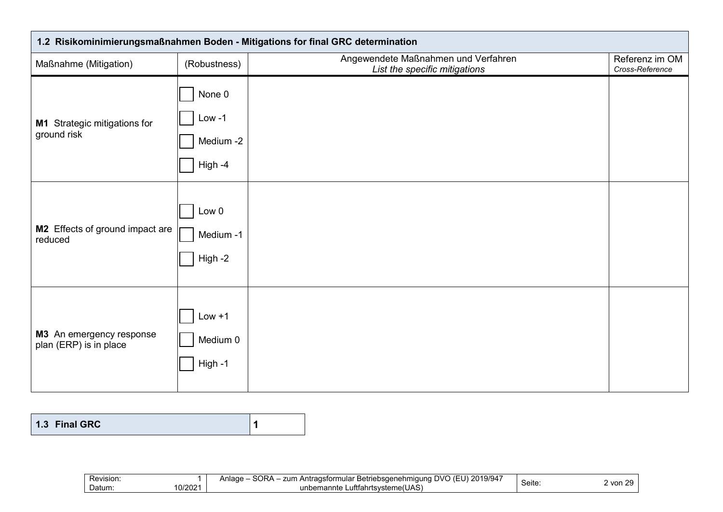| 1.2 Risikominimierungsmaßnahmen Boden - Mitigations for final GRC determination |                                            |                                                                      |                                   |  |  |
|---------------------------------------------------------------------------------|--------------------------------------------|----------------------------------------------------------------------|-----------------------------------|--|--|
| Maßnahme (Mitigation)                                                           | (Robustness)                               | Angewendete Maßnahmen und Verfahren<br>List the specific mitigations | Referenz im OM<br>Cross-Reference |  |  |
| M1 Strategic mitigations for<br>ground risk                                     | None 0<br>$Low -1$<br>Medium -2<br>High -4 |                                                                      |                                   |  |  |
| M2 Effects of ground impact are<br>reduced                                      | Low 0<br>Medium -1<br>High -2              |                                                                      |                                   |  |  |
| M3 An emergency response<br>plan (ERP) is in place                              | $Low + 1$<br>Medium 0<br>High -1           |                                                                      |                                   |  |  |

| 1.3 Final GRC |  |  |
|---------------|--|--|
|---------------|--|--|

| Revision.         | SORA<br>101012<br>nvr<br>E<br>$\sim$ $\sim$<br>zum<br>.<br><br>: Betriebsaenehmiauna<br>nular<br>Antrads.<br>1 U / U / I<br>rorn<br>$\overline{\phantom{a}}$<br>יכו סו<br>anauc<br>. . | . .    | - -<br>J <sub>1</sub><br>,,, |
|-------------------|----------------------------------------------------------------------------------------------------------------------------------------------------------------------------------------|--------|------------------------------|
| 10/2021<br>Datum: | .<br>Luttahrtsysteme(UAS)<br>unbemannte                                                                                                                                                | Seite∶ | VUI                          |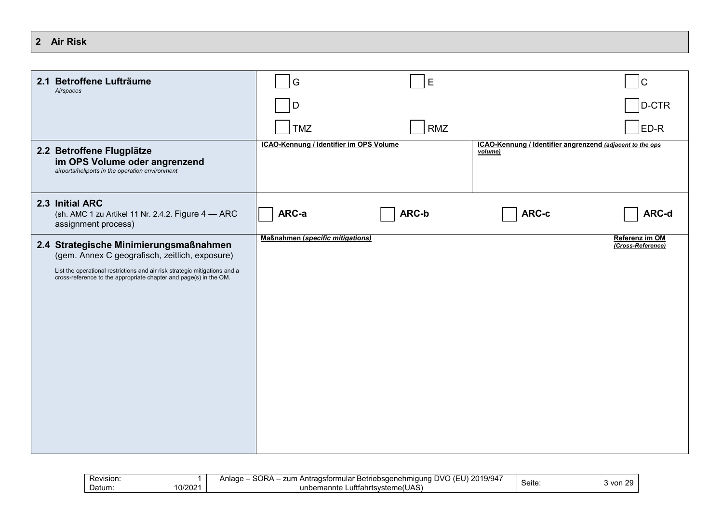| 2 | <b>Air Risk</b> |
|---|-----------------|
|   |                 |

| 2.1 Betroffene Lufträume<br>Airspaces                                        |                                                                                                                                                 | G                                       | E          |                                                                      | $\mathsf{C}$                        |
|------------------------------------------------------------------------------|-------------------------------------------------------------------------------------------------------------------------------------------------|-----------------------------------------|------------|----------------------------------------------------------------------|-------------------------------------|
|                                                                              |                                                                                                                                                 | D                                       |            |                                                                      | D-CTR                               |
|                                                                              |                                                                                                                                                 | <b>TMZ</b>                              | <b>RMZ</b> |                                                                      | ED-R                                |
| 2.2 Betroffene Flugplätze<br>airports/heliports in the operation environment | im OPS Volume oder angrenzend                                                                                                                   | ICAO-Kennung / Identifier im OPS Volume |            | ICAO-Kennung / Identifier angrenzend (adjacent to the ops<br>volume) |                                     |
| 2.3 Initial ARC<br>assignment process)                                       | (sh. AMC 1 zu Artikel 11 Nr. 2.4.2. Figure 4 - ARC                                                                                              | ARC-a                                   | ARC-b      | ARC-c                                                                | ARC-d                               |
|                                                                              | 2.4 Strategische Minimierungsmaßnahmen<br>(gem. Annex C geografisch, zeitlich, exposure)                                                        | <b>Maßnahmen (specific mitigations)</b> |            |                                                                      | Referenz im OM<br>(Cross-Reference) |
|                                                                              | List the operational restrictions and air risk strategic mitigations and a<br>cross-reference to the appropriate chapter and page(s) in the OM. |                                         |            |                                                                      |                                     |
|                                                                              |                                                                                                                                                 |                                         |            |                                                                      |                                     |
|                                                                              |                                                                                                                                                 |                                         |            |                                                                      |                                     |
|                                                                              |                                                                                                                                                 |                                         |            |                                                                      |                                     |
|                                                                              |                                                                                                                                                 |                                         |            |                                                                      |                                     |
|                                                                              |                                                                                                                                                 |                                         |            |                                                                      |                                     |
|                                                                              |                                                                                                                                                 |                                         |            |                                                                      |                                     |
|                                                                              |                                                                                                                                                 |                                         |            |                                                                      |                                     |

| Revision.        | <b>CODA</b><br>71Q/Q17<br>, DVC<br>.<br>$\sim$<br>zum<br>antone<br>. Antragsformular<br>r Betriebsaenehmiauna i<br>чначе<br>, 7<br>' 1 3 1 3 4<br>un.<br>ΣU<br>. . | -     | ~~<br>,,, |
|------------------|--------------------------------------------------------------------------------------------------------------------------------------------------------------------|-------|-----------|
| 0/2021<br>Datum∶ | $\cdots$<br>∟uftfahrts <sup>,</sup><br>unbemannte<br>irtsvsteme(UAS`                                                                                               | Seite | } von     |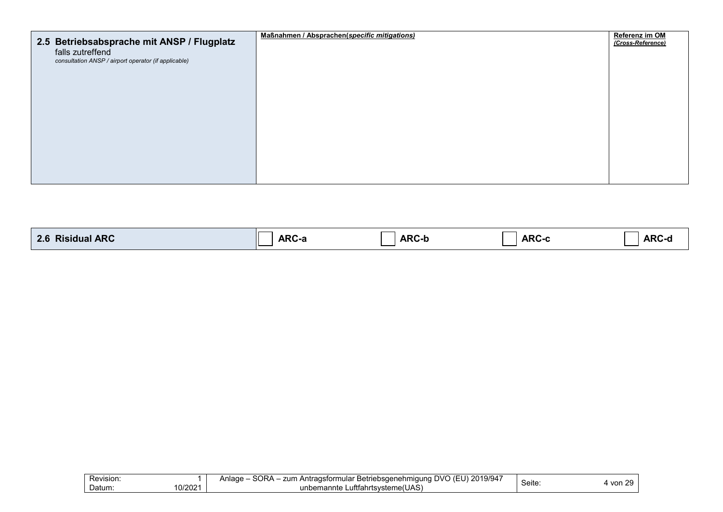| 2.5 Betriebsabsprache mit ANSP / Flugplatz                               | Maßnahmen / Absprachen(specific mitigations) | Referenz im OM<br>(Cross-Reference) |
|--------------------------------------------------------------------------|----------------------------------------------|-------------------------------------|
| falls zutreffend<br>consultation ANSP / airport operator (if applicable) |                                              |                                     |
|                                                                          |                                              |                                     |
|                                                                          |                                              |                                     |
|                                                                          |                                              |                                     |
|                                                                          |                                              |                                     |
|                                                                          |                                              |                                     |
|                                                                          |                                              |                                     |
|                                                                          |                                              |                                     |

| <b>ARC</b><br><u>ິດ ເ</u><br><b>RIC</b><br>siqual.<br>$-1$ | ^O<br>Arv-d | <b>ARC-I</b> | <b>ARC</b> | . AR <sup>r</sup> |
|------------------------------------------------------------|-------------|--------------|------------|-------------------|
|------------------------------------------------------------|-------------|--------------|------------|-------------------|

| Revision:        | $\sim$ $\sim$ $\sim$<br>SOR <sub>A</sub><br>1201'<br>DVO (FI<br>zum<br>.9/94<br>Anlage<br>∟Antraɑsformular<br>: Betriebsaenehmiauna L | Seite | $\sim$<br>110n |
|------------------|---------------------------------------------------------------------------------------------------------------------------------------|-------|----------------|
| 0/2021<br>Datum: | Luftfahrtsvsteme(UAS)<br>unbemannte                                                                                                   |       | vv.            |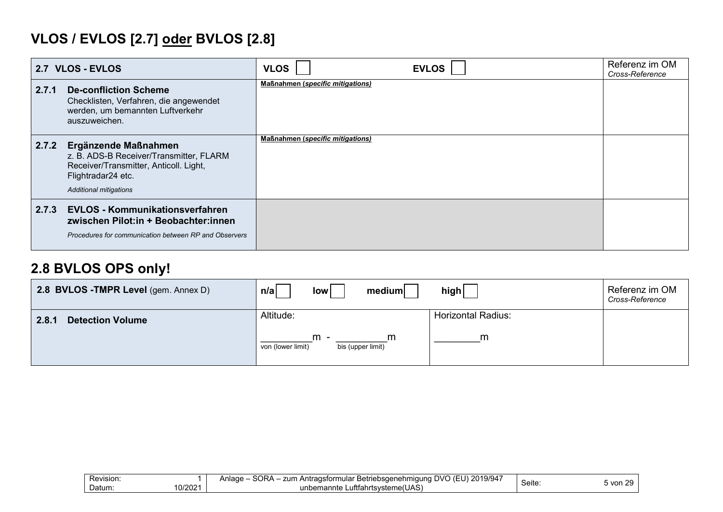# **VLOS / EVLOS [2.7] oder BVLOS [2.8]**

| 2.7 VLOS - EVLOS |                                                                                                                                                                  | <b>EVLOS</b><br><b>VLOS</b>             | Referenz im OM<br>Cross-Reference |
|------------------|------------------------------------------------------------------------------------------------------------------------------------------------------------------|-----------------------------------------|-----------------------------------|
| 2.7.1            | <b>De-confliction Scheme</b><br>Checklisten, Verfahren, die angewendet<br>werden, um bemannten Luftverkehr<br>auszuweichen.                                      | <b>Maßnahmen (specific mitigations)</b> |                                   |
| 2.7.2            | Ergänzende Maßnahmen<br>z. B. ADS-B Receiver/Transmitter, FLARM<br>Receiver/Transmitter, Anticoll. Light,<br>Flightradar24 etc.<br><b>Additional mitigations</b> | <b>Maßnahmen (specific mitigations)</b> |                                   |
| 2.7.3            | <b>EVLOS - Kommunikationsverfahren</b><br>zwischen Pilot:in + Beobachter:innen<br>Procedures for communication between RP and Observers                          |                                         |                                   |

## **2.8 BVLOS OPS only!**

| 2.8 BVLOS - TMPR Level (gem. Annex D) | medium<br>low<br>n/a                                              | high                           | Referenz im OM<br>Cross-Reference |
|---------------------------------------|-------------------------------------------------------------------|--------------------------------|-----------------------------------|
| <b>Detection Volume</b><br>2.8.1      | Altitude:<br>$m -$<br>m<br>von (lower limit)<br>bis (upper limit) | <b>Horizontal Radius:</b><br>m |                                   |
|                                       |                                                                   |                                |                                   |

| Revision:        | SORA<br>, 2019/947<br>$\mathbf{m}$<br>zum<br>Anlage<br>ı Antraɑsformular<br>. $150^\circ$<br>ar Betriebsaenehmiauna<br>$I$ $\vdash$ $I$ $J$ .<br>19/94 | Seite | $\sim$   |
|------------------|--------------------------------------------------------------------------------------------------------------------------------------------------------|-------|----------|
| 0/2021<br>Datum: | Luftfahrtsysteme(UAS)<br>unbemannte                                                                                                                    |       | े von 2⊾ |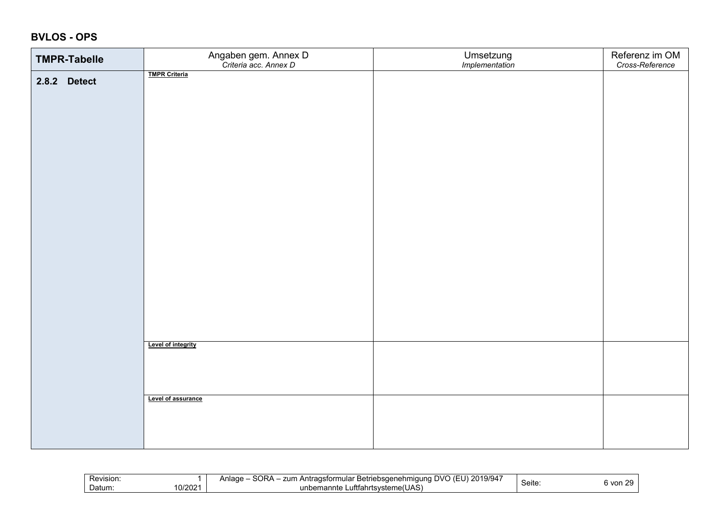### **BVLOS - OPS**

| <b>TMPR-Tabelle</b> | Angaben gem. Annex D<br>Criteria acc. Annex D | Umsetzung<br>Implementation | Referenz im OM<br>Cross-Reference |
|---------------------|-----------------------------------------------|-----------------------------|-----------------------------------|
| 2.8.2 Detect        | <b>TMPR Criteria</b>                          |                             |                                   |
|                     |                                               |                             |                                   |
|                     |                                               |                             |                                   |
|                     |                                               |                             |                                   |
|                     |                                               |                             |                                   |
|                     |                                               |                             |                                   |
|                     |                                               |                             |                                   |
|                     |                                               |                             |                                   |
|                     |                                               |                             |                                   |
|                     |                                               |                             |                                   |
|                     |                                               |                             |                                   |
|                     |                                               |                             |                                   |
|                     |                                               |                             |                                   |
|                     |                                               |                             |                                   |
|                     |                                               |                             |                                   |
|                     |                                               |                             |                                   |
|                     | Level of integrity                            |                             |                                   |
|                     |                                               |                             |                                   |
|                     |                                               |                             |                                   |
|                     | Level of assurance                            |                             |                                   |
|                     |                                               |                             |                                   |
|                     |                                               |                             |                                   |
|                     |                                               |                             |                                   |

| -<br><b>Revision</b>   | SORA<br>101011<br>201<br>$\sqrt{2}$<br>zum<br>Anlage<br>19/94<br>* Betriebsaenehmiauna :<br>raɑstormı<br>) ( k<br>rmular<br>` Antra.<br>$\mathbf{1}$ | - -    | $\sim$ |
|------------------------|------------------------------------------------------------------------------------------------------------------------------------------------------|--------|--------|
| 10/2021<br>-<br>Datum: | me(UAS`<br>∟uftfahrtsvstem<br>$'$ inham $'$<br>emannte<br>                                                                                           | Seite: | von    |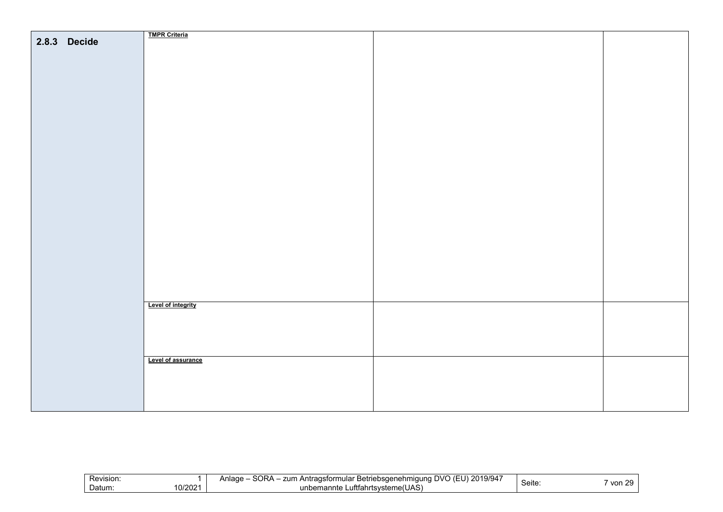|              | <b>TMPR Criteria</b> |  |
|--------------|----------------------|--|
| 2.8.3 Decide |                      |  |
|              |                      |  |
|              |                      |  |
|              |                      |  |
|              |                      |  |
|              |                      |  |
|              |                      |  |
|              |                      |  |
|              |                      |  |
|              |                      |  |
|              |                      |  |
|              |                      |  |
|              |                      |  |
|              |                      |  |
|              |                      |  |
|              |                      |  |
|              |                      |  |
|              |                      |  |
|              |                      |  |
|              |                      |  |
|              |                      |  |
|              |                      |  |
|              |                      |  |
|              |                      |  |
|              |                      |  |
|              |                      |  |
|              |                      |  |
|              |                      |  |
|              |                      |  |
|              | Level of integrity   |  |
|              |                      |  |
|              |                      |  |
|              |                      |  |
|              |                      |  |
|              |                      |  |
|              | Level of assurance   |  |
|              |                      |  |
|              |                      |  |
|              |                      |  |
|              |                      |  |
|              |                      |  |
|              |                      |  |

| Revision:        | ∩R∆<br>$\sim$ $\sim$ $\sim$<br>201<br>--<br>zum<br>…radstorm"<br>Betriebsgenehm<br>100 <sub>2</sub><br>$\cdot$ DVC $\cdot$<br>$\mathbf{A}$<br>mulal<br><i>alan</i><br>Jno<br>villade<br>ישוטו<br>. . | Seite | ററ<br>von |
|------------------|------------------------------------------------------------------------------------------------------------------------------------------------------------------------------------------------------|-------|-----------|
| 10/202<br>Datum: | "fahrtsvsteme(UAS.<br>unbemannte<br>.utttar                                                                                                                                                          |       |           |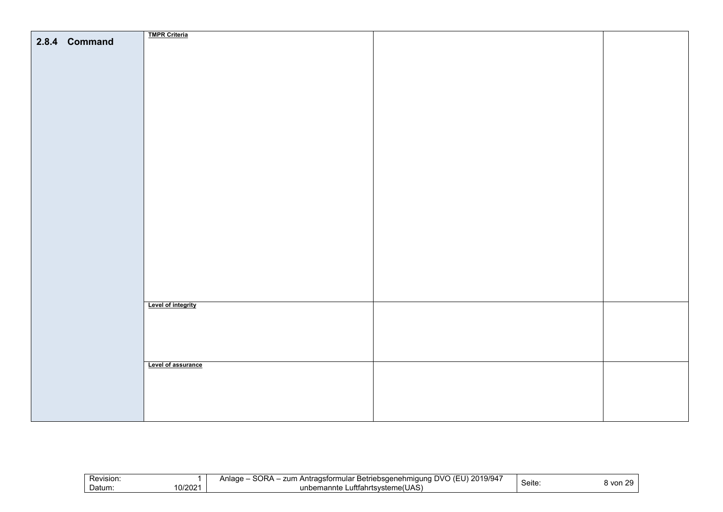|               | <b>TMPR Criteria</b> |  |
|---------------|----------------------|--|
| 2.8.4 Command |                      |  |
|               |                      |  |
|               |                      |  |
|               |                      |  |
|               |                      |  |
|               |                      |  |
|               |                      |  |
|               |                      |  |
|               |                      |  |
|               |                      |  |
|               |                      |  |
|               |                      |  |
|               |                      |  |
|               |                      |  |
|               |                      |  |
|               |                      |  |
|               |                      |  |
|               |                      |  |
|               |                      |  |
|               |                      |  |
|               |                      |  |
|               |                      |  |
|               |                      |  |
|               |                      |  |
|               |                      |  |
|               |                      |  |
|               |                      |  |
|               |                      |  |
|               |                      |  |
|               |                      |  |
|               |                      |  |
|               |                      |  |
|               |                      |  |
|               |                      |  |
|               |                      |  |
|               |                      |  |
|               |                      |  |
|               |                      |  |
|               |                      |  |
|               | Level of integrity   |  |
|               |                      |  |
|               |                      |  |
|               |                      |  |
|               |                      |  |
|               |                      |  |
|               |                      |  |
|               |                      |  |
|               | Level of assurance   |  |
|               |                      |  |
|               |                      |  |
|               |                      |  |
|               |                      |  |
|               |                      |  |
|               |                      |  |
|               |                      |  |
|               |                      |  |

| –<br>Revision:<br>- | nn -<br>19/947<br>ንስ<br>DVC<br>zun.<br>ממפי<br>riebsaenehmi<br>าเตนทด<br>Betr'<br>mulai<br>n r<br>יי ∽י<br>rorr<br>ואנ<br>້<br>aut -<br><u>ы </u><br>. . <i>.</i><br>∠∪<br>. .<br>.<br>$\cdots$<br>. . | . .<br>Seite: | $\sim$<br>⊰ von |
|---------------------|--------------------------------------------------------------------------------------------------------------------------------------------------------------------------------------------------------|---------------|-----------------|
| 10/2021<br>Datum:   | _utttahr*<br>unbeman<br>ਾ°nnte ∟.<br>≅"steme(∪.<br>JAS                                                                                                                                                 |               |                 |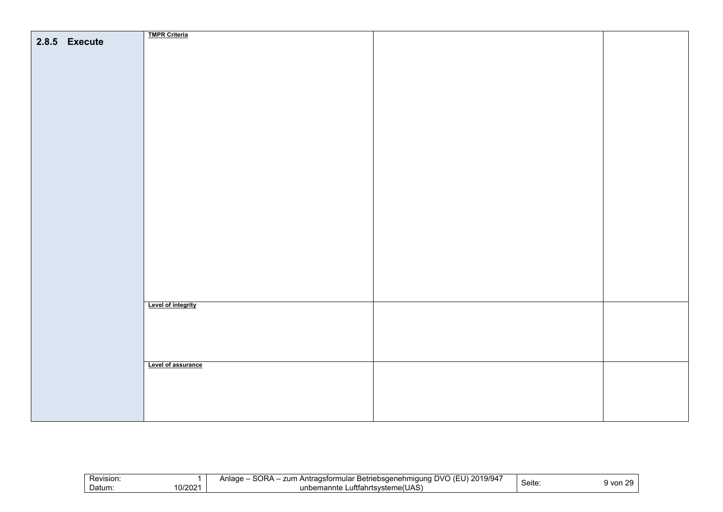|               | <b>TMPR Criteria</b> |  |
|---------------|----------------------|--|
| 2.8.5 Execute |                      |  |
|               |                      |  |
|               |                      |  |
|               |                      |  |
|               |                      |  |
|               |                      |  |
|               |                      |  |
|               |                      |  |
|               |                      |  |
|               |                      |  |
|               |                      |  |
|               |                      |  |
|               |                      |  |
|               |                      |  |
|               |                      |  |
|               |                      |  |
|               |                      |  |
|               |                      |  |
|               |                      |  |
|               |                      |  |
|               |                      |  |
|               |                      |  |
|               |                      |  |
|               |                      |  |
|               |                      |  |
|               |                      |  |
|               |                      |  |
|               |                      |  |
|               |                      |  |
|               |                      |  |
|               |                      |  |
|               |                      |  |
|               |                      |  |
|               |                      |  |
|               |                      |  |
|               |                      |  |
|               |                      |  |
|               |                      |  |
|               |                      |  |
|               | Level of integrity   |  |
|               |                      |  |
|               |                      |  |
|               |                      |  |
|               |                      |  |
|               |                      |  |
|               |                      |  |
|               |                      |  |
|               |                      |  |
|               | Level of assurance   |  |
|               |                      |  |
|               |                      |  |
|               |                      |  |
|               |                      |  |
|               |                      |  |
|               |                      |  |
|               |                      |  |
|               |                      |  |

| ∼ | -<br>Revision:<br>10/202<br>-<br>Datum: | con.<br>$\cdots$<br>$\mathbb{R}^{11}$<br>zum<br>14<br>'age<br>midun<br>Betriebsaenehm<br>nula<br>`19/94<br>∿ שנ<br>` Anti .<br>as<br>$\overline{\mathbf{v}}$<br>ore<br>ΛF<br>. .<br>. .<br>$\cdots$<br>. .<br>$. + + +$<br>unt<br>∴svsteme/'<br>onnte ⊾<br>umanro<br>∍ma<br>1 I LA | Seite: | $\sim$<br>9 vor<br>. . |
|---|-----------------------------------------|------------------------------------------------------------------------------------------------------------------------------------------------------------------------------------------------------------------------------------------------------------------------------------|--------|------------------------|
|---|-----------------------------------------|------------------------------------------------------------------------------------------------------------------------------------------------------------------------------------------------------------------------------------------------------------------------------------|--------|------------------------|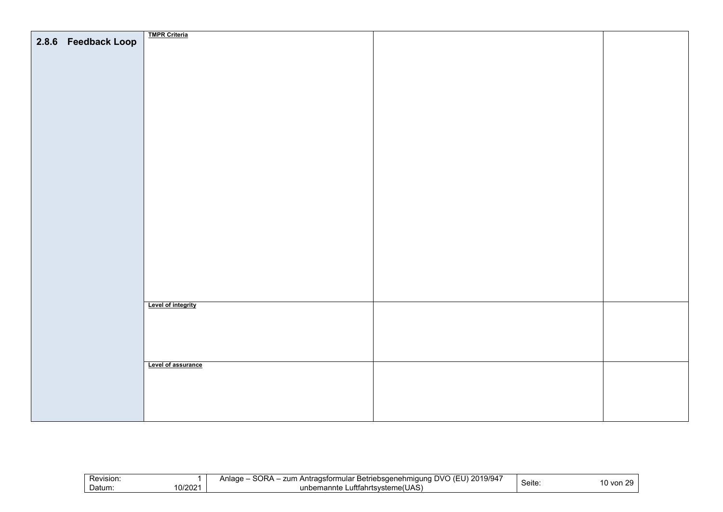|                     | <b>TMPR Criteria</b>      |  |
|---------------------|---------------------------|--|
| 2.8.6 Feedback Loop |                           |  |
|                     |                           |  |
|                     |                           |  |
|                     |                           |  |
|                     |                           |  |
|                     |                           |  |
|                     |                           |  |
|                     |                           |  |
|                     |                           |  |
|                     |                           |  |
|                     |                           |  |
|                     |                           |  |
|                     |                           |  |
|                     |                           |  |
|                     |                           |  |
|                     |                           |  |
|                     |                           |  |
|                     |                           |  |
|                     |                           |  |
|                     |                           |  |
|                     |                           |  |
|                     |                           |  |
|                     |                           |  |
|                     |                           |  |
|                     |                           |  |
|                     |                           |  |
|                     |                           |  |
|                     |                           |  |
|                     |                           |  |
|                     |                           |  |
|                     |                           |  |
|                     |                           |  |
|                     |                           |  |
|                     |                           |  |
|                     |                           |  |
|                     |                           |  |
|                     | <b>Level of integrity</b> |  |
|                     |                           |  |
|                     |                           |  |
|                     |                           |  |
|                     |                           |  |
|                     |                           |  |
|                     |                           |  |
|                     |                           |  |
|                     | Level of assurance        |  |
|                     |                           |  |
|                     |                           |  |
|                     |                           |  |
|                     |                           |  |
|                     |                           |  |
|                     |                           |  |
|                     |                           |  |

| Revision:<br>0/2021<br>Datum: | <b>AQOS</b><br>$\overline{\phantom{a}}$<br>DVO (<br>2019/94<br>zum<br>Betriebsaenehmigung<br>1000<br>⊥ Antraɑsformular ∶<br>אטכ<br>нач<br>. .<br>. .<br>. .<br>(1.1A)<br>∟uftfahrtsvsteme(UAS)<br>unbemannte | $\overline{\phantom{0}}$<br>Seite: | $\sim$<br>$0$ von |
|-------------------------------|--------------------------------------------------------------------------------------------------------------------------------------------------------------------------------------------------------------|------------------------------------|-------------------|
|-------------------------------|--------------------------------------------------------------------------------------------------------------------------------------------------------------------------------------------------------------|------------------------------------|-------------------|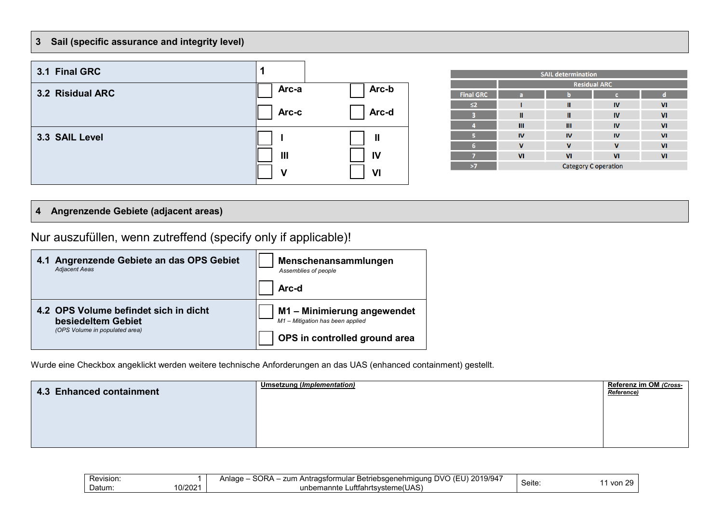### **3 Sail (specific assurance and integrity level)**



| <b>SAIL determination</b> |                             |    |    |                |  |  |  |  |  |  |
|---------------------------|-----------------------------|----|----|----------------|--|--|--|--|--|--|
|                           | <b>Residual ARC</b>         |    |    |                |  |  |  |  |  |  |
| <b>Final GRC</b>          | a                           | b  |    | d              |  |  |  |  |  |  |
| $\leq$                    |                             | Ш  | IV | VI             |  |  |  |  |  |  |
|                           | Ш                           | Ш  | IV | VI             |  |  |  |  |  |  |
|                           | Ш                           | Ш  | IV | VI             |  |  |  |  |  |  |
|                           | IV                          | IV | IV | V <sub>1</sub> |  |  |  |  |  |  |
| 6                         | v                           | v  | v  | VI             |  |  |  |  |  |  |
|                           | VI                          | VI | VI | VI             |  |  |  |  |  |  |
| >7                        | <b>Category C operation</b> |    |    |                |  |  |  |  |  |  |

### **4 Angrenzende Gebiete (adjacent areas)**

Nur auszufüllen, wenn zutreffend (specify only if applicable)!

| 4.1 Angrenzende Gebiete an das OPS Gebiet | Menschenansammlungen             |
|-------------------------------------------|----------------------------------|
| <b>Adjacent Aeas</b>                      | Assemblies of people             |
|                                           | Arc-d                            |
| 4.2 OPS Volume befindet sich in dicht     | M1 - Minimierung angewendet      |
| besiedeltem Gebiet                        | M1 - Mitigation has been applied |
| (OPS Volume in populated area)            | OPS in controlled ground area    |

Wurde eine Checkbox angeklickt werden weitere technische Anforderungen an das UAS (enhanced containment) gestellt.

| 4.3 Enhanced containment | Umsetzung (Implementation) | Referenz im OM (Cross-<br>Reference) |
|--------------------------|----------------------------|--------------------------------------|
|                          |                            |                                      |
|                          |                            |                                      |

| Revision.        | <b>SORA</b><br>, 2019/947<br>יים<br>zum<br><b>Anlage</b><br>ำ ostormular ∟<br>Antrad<br>.∂ Betriebsaenehmiaun∩<br>$)$ (F<br>$\cdot$ DVL.<br>. . | $C$ oita     | ~   |
|------------------|-------------------------------------------------------------------------------------------------------------------------------------------------|--------------|-----|
| 0/2021<br>Datum: | $\cdots$<br><br>Luftfahrtsvsteme(UAS)<br>unbemannte                                                                                             | <b>Seite</b> | von |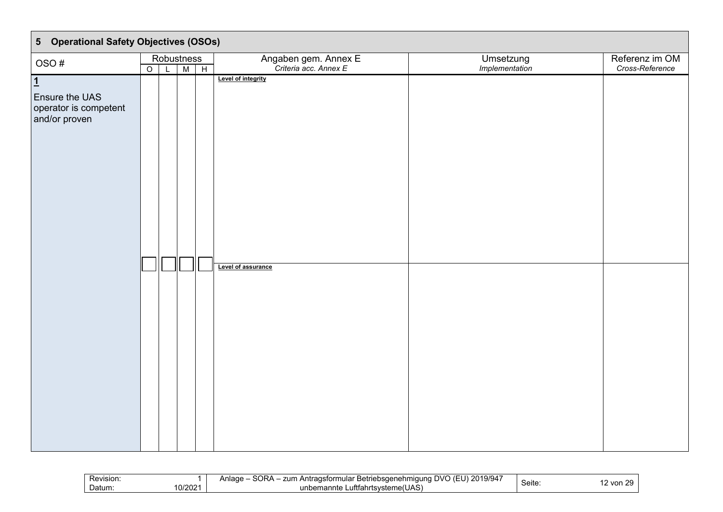| 5 Operational Safety Objectives (OSOs)                                     |                    |            |                                                                                           |                |                 |
|----------------------------------------------------------------------------|--------------------|------------|-------------------------------------------------------------------------------------------|----------------|-----------------|
| OSO#                                                                       |                    | Robustness |                                                                                           | Umsetzung      | Referenz im OM  |
|                                                                            |                    |            |                                                                                           |                |                 |
| $\overline{1}$<br>Ensure the UAS<br>operator is competent<br>and/or proven | $\overline{\circ}$ | L M H      | Angaben gem. Annex E<br>Criteria acc. Annex E<br>Level of integrity<br>Level of assurance | Implementation | Cross-Reference |
|                                                                            |                    |            |                                                                                           |                |                 |

| $\sim$<br>00101017<br>$\sim$<br>.<br>zum<br>200000<br>$\sim$<br>10/04<br>. J V<br>າເມລ<br>astor<br>` Anīra∈<br>Betr<br>)saener<br>מר<br>ım<br>REVISION.<br>10.U<br>-u<br>$\mathbf{r}$<br>+יכוסו<br>υ.<br>.<br>10/2021<br>⊇atum.<br>.utttahr<br>็าคกfe<br>rtsv<br>$\mathbf{A}$<br>חי∘<br>unu | Seite: | $\sim$<br>חמוני<br>.<br>,,, |
|---------------------------------------------------------------------------------------------------------------------------------------------------------------------------------------------------------------------------------------------------------------------------------------------|--------|-----------------------------|
|---------------------------------------------------------------------------------------------------------------------------------------------------------------------------------------------------------------------------------------------------------------------------------------------|--------|-----------------------------|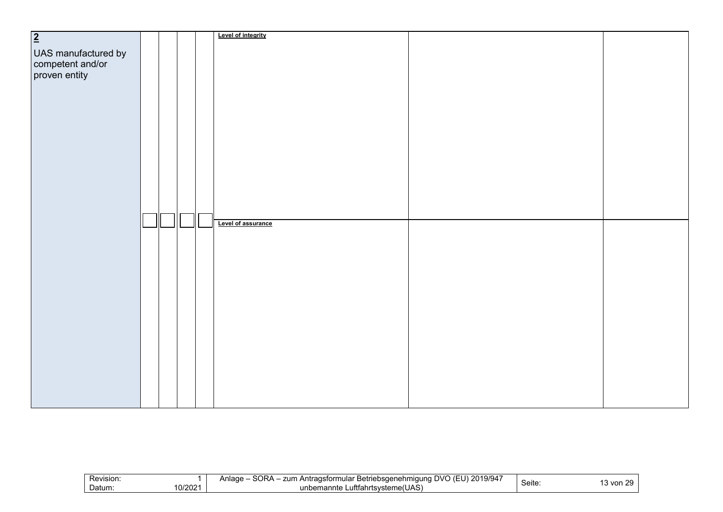| $\overline{2}$                                           |  |  | Level of integrity |  |
|----------------------------------------------------------|--|--|--------------------|--|
|                                                          |  |  |                    |  |
| UAS manufactured by<br>competent and/or<br>proven entity |  |  |                    |  |
|                                                          |  |  |                    |  |
|                                                          |  |  |                    |  |
|                                                          |  |  |                    |  |
|                                                          |  |  |                    |  |
|                                                          |  |  |                    |  |
|                                                          |  |  |                    |  |
|                                                          |  |  |                    |  |
|                                                          |  |  |                    |  |
|                                                          |  |  |                    |  |
|                                                          |  |  |                    |  |
|                                                          |  |  |                    |  |
|                                                          |  |  |                    |  |
|                                                          |  |  |                    |  |
|                                                          |  |  |                    |  |
|                                                          |  |  |                    |  |
|                                                          |  |  |                    |  |
|                                                          |  |  |                    |  |
|                                                          |  |  |                    |  |
|                                                          |  |  |                    |  |
|                                                          |  |  | Level of assurance |  |
|                                                          |  |  |                    |  |
|                                                          |  |  |                    |  |
|                                                          |  |  |                    |  |
|                                                          |  |  |                    |  |
|                                                          |  |  |                    |  |
|                                                          |  |  |                    |  |
|                                                          |  |  |                    |  |
|                                                          |  |  |                    |  |
|                                                          |  |  |                    |  |
|                                                          |  |  |                    |  |
|                                                          |  |  |                    |  |
|                                                          |  |  |                    |  |
|                                                          |  |  |                    |  |
|                                                          |  |  |                    |  |
|                                                          |  |  |                    |  |
|                                                          |  |  |                    |  |
|                                                          |  |  |                    |  |
|                                                          |  |  |                    |  |
|                                                          |  |  |                    |  |
|                                                          |  |  |                    |  |
|                                                          |  |  |                    |  |

| Revision: | <b>OOD</b><br>2019/947<br>ovc<br>zum<br>r Betriebsaenehmiauna.<br>. Antragsformular '<br>Anlaɑɾ<br>.<br>いいト<br>. . |        | $\sim$<br>, J J |
|-----------|--------------------------------------------------------------------------------------------------------------------|--------|-----------------|
| 0/2021    | ∟uftfahrtsvsteme(UAS)                                                                                              | Seite: | ` von           |
| Datum:    | unbemannte                                                                                                         |        | . J             |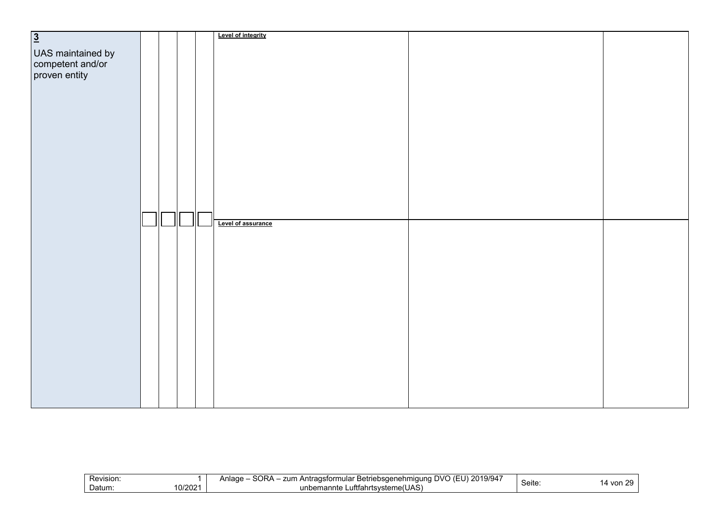| $\overline{3}$                                         |  |   | Level of integrity |  |
|--------------------------------------------------------|--|---|--------------------|--|
|                                                        |  |   |                    |  |
| UAS maintained by<br>competent and/or<br>proven entity |  |   |                    |  |
|                                                        |  |   |                    |  |
|                                                        |  |   |                    |  |
|                                                        |  |   |                    |  |
|                                                        |  |   |                    |  |
|                                                        |  |   |                    |  |
|                                                        |  |   |                    |  |
|                                                        |  |   |                    |  |
|                                                        |  |   |                    |  |
|                                                        |  |   |                    |  |
|                                                        |  |   |                    |  |
|                                                        |  |   |                    |  |
|                                                        |  |   |                    |  |
|                                                        |  |   |                    |  |
|                                                        |  |   |                    |  |
|                                                        |  |   |                    |  |
|                                                        |  |   |                    |  |
|                                                        |  |   |                    |  |
|                                                        |  |   |                    |  |
|                                                        |  |   |                    |  |
|                                                        |  |   |                    |  |
|                                                        |  | Ш |                    |  |
|                                                        |  |   | Level of assurance |  |
|                                                        |  |   |                    |  |
|                                                        |  |   |                    |  |
|                                                        |  |   |                    |  |
|                                                        |  |   |                    |  |
|                                                        |  |   |                    |  |
|                                                        |  |   |                    |  |
|                                                        |  |   |                    |  |
|                                                        |  |   |                    |  |
|                                                        |  |   |                    |  |
|                                                        |  |   |                    |  |
|                                                        |  |   |                    |  |
|                                                        |  |   |                    |  |
|                                                        |  |   |                    |  |
|                                                        |  |   |                    |  |
|                                                        |  |   |                    |  |
|                                                        |  |   |                    |  |
|                                                        |  |   |                    |  |
|                                                        |  |   |                    |  |
|                                                        |  |   |                    |  |
|                                                        |  |   |                    |  |
|                                                        |  |   |                    |  |
|                                                        |  |   |                    |  |
|                                                        |  |   |                    |  |

| SORA<br>$\sim$ $\sim$ $\sim$<br>2019/94<br>Revision:<br>zum<br>a Antragsformular '<br>ar Betriebsdenehm'<br>⊿nlaαe<br>$\overline{111}$<br>nauna<br>--<br>ピヘけへ<br>von<br>. .<br>$\prime$<br><b>Seite</b><br>10/2021<br>∟uftfahrtsvste<br>Datum:<br>unbemannte<br>∵steme(UAS, |
|-----------------------------------------------------------------------------------------------------------------------------------------------------------------------------------------------------------------------------------------------------------------------------|
|-----------------------------------------------------------------------------------------------------------------------------------------------------------------------------------------------------------------------------------------------------------------------------|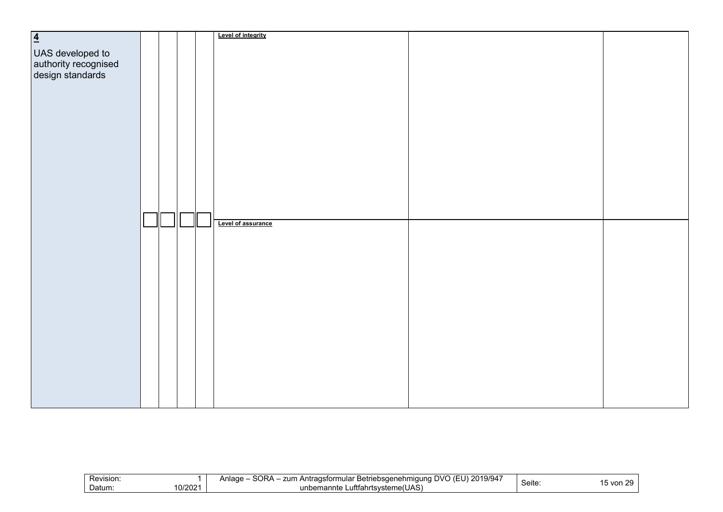| $\overline{4}$                                               |  |  | Level of integrity |  |
|--------------------------------------------------------------|--|--|--------------------|--|
|                                                              |  |  |                    |  |
|                                                              |  |  |                    |  |
|                                                              |  |  |                    |  |
|                                                              |  |  |                    |  |
| UAS developed to<br>authority recognised<br>design standards |  |  |                    |  |
|                                                              |  |  |                    |  |
|                                                              |  |  |                    |  |
|                                                              |  |  |                    |  |
|                                                              |  |  |                    |  |
|                                                              |  |  |                    |  |
|                                                              |  |  |                    |  |
|                                                              |  |  |                    |  |
|                                                              |  |  |                    |  |
|                                                              |  |  |                    |  |
|                                                              |  |  |                    |  |
|                                                              |  |  |                    |  |
|                                                              |  |  |                    |  |
|                                                              |  |  |                    |  |
|                                                              |  |  |                    |  |
|                                                              |  |  |                    |  |
|                                                              |  |  |                    |  |
|                                                              |  |  | Level of assurance |  |
|                                                              |  |  |                    |  |
|                                                              |  |  |                    |  |
|                                                              |  |  |                    |  |
|                                                              |  |  |                    |  |
|                                                              |  |  |                    |  |
|                                                              |  |  |                    |  |
|                                                              |  |  |                    |  |
|                                                              |  |  |                    |  |
|                                                              |  |  |                    |  |
|                                                              |  |  |                    |  |
|                                                              |  |  |                    |  |
|                                                              |  |  |                    |  |
|                                                              |  |  |                    |  |
|                                                              |  |  |                    |  |
|                                                              |  |  |                    |  |
|                                                              |  |  |                    |  |
|                                                              |  |  |                    |  |
|                                                              |  |  |                    |  |
|                                                              |  |  |                    |  |
|                                                              |  |  |                    |  |
|                                                              |  |  |                    |  |

| Revision: | CDA<br>2019/947<br>zum<br>UV)،<br>Antragsformular '<br>∖nlaɑ∈<br>r Betriebsaenehmiauna<br>ouna<br>. . | $\overline{\phantom{a}}$ | $\sim$<br>, J |
|-----------|-------------------------------------------------------------------------------------------------------|--------------------------|---------------|
| 0/2021    | ∟uftfahrtsvsteme(UAS)                                                                                 | Seite:                   | von           |
| Datum:    | unbemannte                                                                                            |                          | $\cdot$ .     |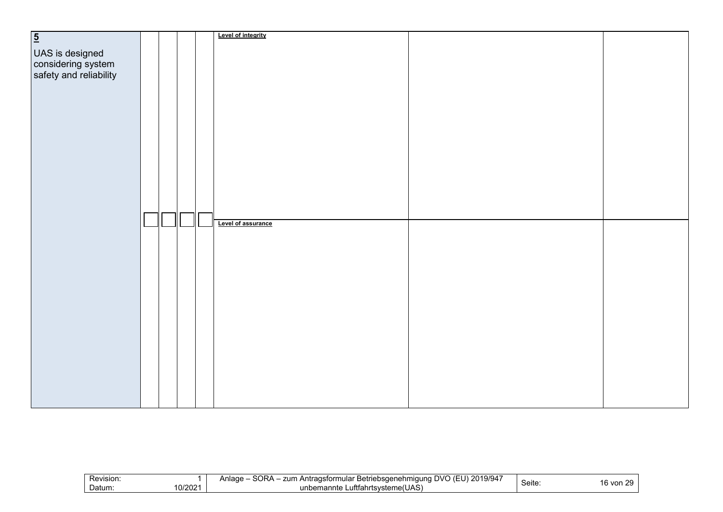| $\overline{5}$                                                  |  |  | Level of integrity |  |
|-----------------------------------------------------------------|--|--|--------------------|--|
|                                                                 |  |  |                    |  |
|                                                                 |  |  |                    |  |
|                                                                 |  |  |                    |  |
|                                                                 |  |  |                    |  |
| UAS is designed<br>considering system<br>safety and reliability |  |  |                    |  |
|                                                                 |  |  |                    |  |
|                                                                 |  |  |                    |  |
|                                                                 |  |  |                    |  |
|                                                                 |  |  |                    |  |
|                                                                 |  |  |                    |  |
|                                                                 |  |  |                    |  |
|                                                                 |  |  |                    |  |
|                                                                 |  |  |                    |  |
|                                                                 |  |  |                    |  |
|                                                                 |  |  |                    |  |
|                                                                 |  |  |                    |  |
|                                                                 |  |  |                    |  |
|                                                                 |  |  |                    |  |
|                                                                 |  |  |                    |  |
|                                                                 |  |  |                    |  |
|                                                                 |  |  |                    |  |
|                                                                 |  |  | Level of assurance |  |
|                                                                 |  |  |                    |  |
|                                                                 |  |  |                    |  |
|                                                                 |  |  |                    |  |
|                                                                 |  |  |                    |  |
|                                                                 |  |  |                    |  |
|                                                                 |  |  |                    |  |
|                                                                 |  |  |                    |  |
|                                                                 |  |  |                    |  |
|                                                                 |  |  |                    |  |
|                                                                 |  |  |                    |  |
|                                                                 |  |  |                    |  |
|                                                                 |  |  |                    |  |
|                                                                 |  |  |                    |  |
|                                                                 |  |  |                    |  |
|                                                                 |  |  |                    |  |
|                                                                 |  |  |                    |  |
|                                                                 |  |  |                    |  |
|                                                                 |  |  |                    |  |
|                                                                 |  |  |                    |  |
|                                                                 |  |  |                    |  |
|                                                                 |  |  |                    |  |
|                                                                 |  |  |                    |  |

| Revision: | CDA<br>2019/947<br>zum<br>UV)،<br>Antragsformular '<br>∖nlaɑ∈<br>r Betriebsaenehmiauna<br>ouna<br>. . | $\overline{\phantom{a}}$ | $\sim$<br>, J |
|-----------|-------------------------------------------------------------------------------------------------------|--------------------------|---------------|
| 0/2021    | ∟uftfahrtsvsteme(UAS)                                                                                 | Seite:                   | von           |
| Datum:    | unbemannte                                                                                            |                          | 16.           |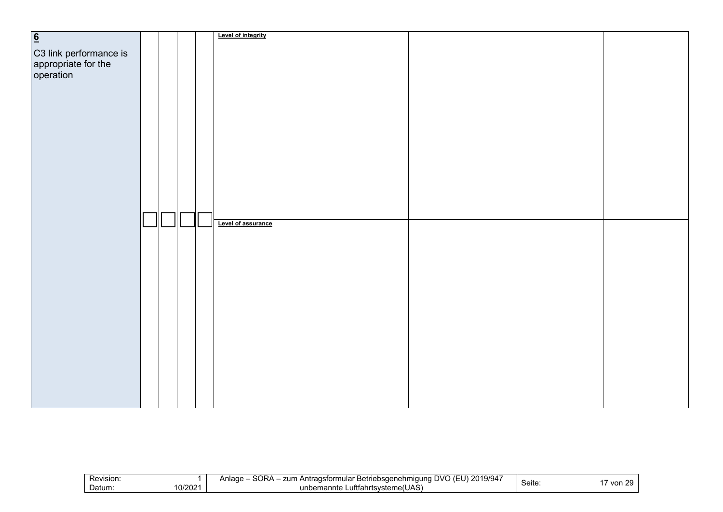| 6                                                          |  |  | Level of integrity |  |
|------------------------------------------------------------|--|--|--------------------|--|
|                                                            |  |  |                    |  |
|                                                            |  |  |                    |  |
|                                                            |  |  |                    |  |
| C3 link performance is<br>appropriate for the<br>operation |  |  |                    |  |
|                                                            |  |  |                    |  |
|                                                            |  |  |                    |  |
|                                                            |  |  |                    |  |
|                                                            |  |  |                    |  |
|                                                            |  |  |                    |  |
|                                                            |  |  |                    |  |
|                                                            |  |  |                    |  |
|                                                            |  |  |                    |  |
|                                                            |  |  |                    |  |
|                                                            |  |  |                    |  |
|                                                            |  |  |                    |  |
|                                                            |  |  |                    |  |
|                                                            |  |  |                    |  |
|                                                            |  |  |                    |  |
|                                                            |  |  | Level of assurance |  |
|                                                            |  |  |                    |  |
|                                                            |  |  |                    |  |
|                                                            |  |  |                    |  |
|                                                            |  |  |                    |  |
|                                                            |  |  |                    |  |
|                                                            |  |  |                    |  |
|                                                            |  |  |                    |  |
|                                                            |  |  |                    |  |
|                                                            |  |  |                    |  |
|                                                            |  |  |                    |  |
|                                                            |  |  |                    |  |
|                                                            |  |  |                    |  |
|                                                            |  |  |                    |  |
|                                                            |  |  |                    |  |
|                                                            |  |  |                    |  |
|                                                            |  |  |                    |  |
|                                                            |  |  |                    |  |
|                                                            |  |  |                    |  |

| Revision.         | ≀חר?<br>101010<br><b>DVO</b><br>$\epsilon$<br>$\sim$ $\sim$ $\sim$<br>lage<br>zum<br>Betriebsgenehmigung<br>$\sim$<br>itradsforr،<br>mular<br>$\mathbf{A}$<br>$\epsilon$ $\sim$<br>97947<br>. ZU 11<br>. .<br>. .<br>. . | $\sim$ | - - |
|-------------------|--------------------------------------------------------------------------------------------------------------------------------------------------------------------------------------------------------------------------|--------|-----|
| 10/2021<br>Datum: | ∟uftfahrtsvsteme(UAS) ⊾<br>unbemannte                                                                                                                                                                                    | Seite  | von |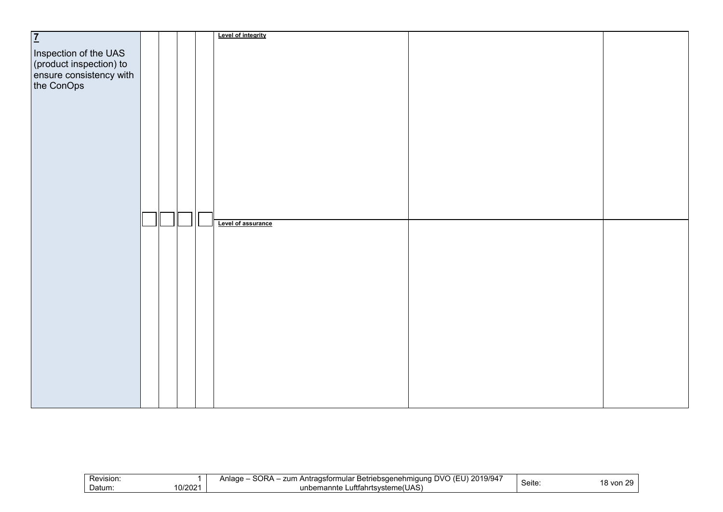| $\overline{1}$                                                                            |  |  | Level of integrity |  |
|-------------------------------------------------------------------------------------------|--|--|--------------------|--|
|                                                                                           |  |  |                    |  |
|                                                                                           |  |  |                    |  |
|                                                                                           |  |  |                    |  |
|                                                                                           |  |  |                    |  |
|                                                                                           |  |  |                    |  |
| Inspection of the UAS<br>(product inspection) to<br>ensure consistency with<br>the ConOps |  |  |                    |  |
|                                                                                           |  |  |                    |  |
|                                                                                           |  |  |                    |  |
|                                                                                           |  |  |                    |  |
|                                                                                           |  |  |                    |  |
|                                                                                           |  |  |                    |  |
|                                                                                           |  |  |                    |  |
|                                                                                           |  |  |                    |  |
|                                                                                           |  |  |                    |  |
|                                                                                           |  |  |                    |  |
|                                                                                           |  |  |                    |  |
|                                                                                           |  |  |                    |  |
|                                                                                           |  |  |                    |  |
|                                                                                           |  |  |                    |  |
|                                                                                           |  |  |                    |  |
|                                                                                           |  |  | Level of assurance |  |
|                                                                                           |  |  |                    |  |
|                                                                                           |  |  |                    |  |
|                                                                                           |  |  |                    |  |
|                                                                                           |  |  |                    |  |
|                                                                                           |  |  |                    |  |
|                                                                                           |  |  |                    |  |
|                                                                                           |  |  |                    |  |
|                                                                                           |  |  |                    |  |
|                                                                                           |  |  |                    |  |
|                                                                                           |  |  |                    |  |
|                                                                                           |  |  |                    |  |
|                                                                                           |  |  |                    |  |
|                                                                                           |  |  |                    |  |
|                                                                                           |  |  |                    |  |
|                                                                                           |  |  |                    |  |
|                                                                                           |  |  |                    |  |
|                                                                                           |  |  |                    |  |
|                                                                                           |  |  |                    |  |
|                                                                                           |  |  |                    |  |
|                                                                                           |  |  |                    |  |

|  | Revision:<br>10/2021<br>Datum: | SORA<br>$\sim$ $\sim$ $\sim$<br>. 2019/94<br>zum<br>a Antragsformular '<br>ar Betriebsdenehm'<br>⊿nlaαe<br>$\overline{111}$<br>nauna<br>. .<br>∟uftfahrtsvste<br>∵steme(UAS,<br>unbemannte | --<br>ピヘけへ<br><b>Seite</b> | $\sim$<br>von |
|--|--------------------------------|--------------------------------------------------------------------------------------------------------------------------------------------------------------------------------------------|----------------------------|---------------|
|--|--------------------------------|--------------------------------------------------------------------------------------------------------------------------------------------------------------------------------------------|----------------------------|---------------|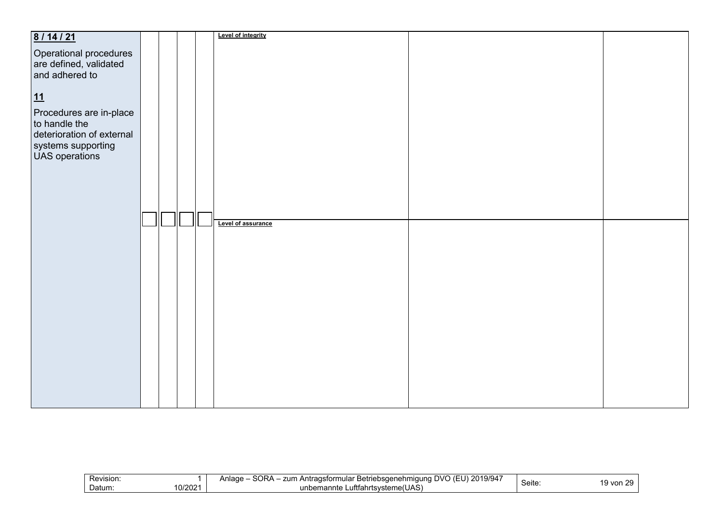| 8/14/21                                  |  |  | Level of integrity |  |
|------------------------------------------|--|--|--------------------|--|
|                                          |  |  |                    |  |
| Operational procedures                   |  |  |                    |  |
| are defined, validated<br>and adhered to |  |  |                    |  |
|                                          |  |  |                    |  |
|                                          |  |  |                    |  |
|                                          |  |  |                    |  |
| 11                                       |  |  |                    |  |
|                                          |  |  |                    |  |
| Procedures are in-place                  |  |  |                    |  |
| to handle the                            |  |  |                    |  |
| deterioration of external                |  |  |                    |  |
|                                          |  |  |                    |  |
| systems supporting<br>UAS operations     |  |  |                    |  |
|                                          |  |  |                    |  |
|                                          |  |  |                    |  |
|                                          |  |  |                    |  |
|                                          |  |  |                    |  |
|                                          |  |  |                    |  |
|                                          |  |  |                    |  |
|                                          |  |  |                    |  |
|                                          |  |  | Level of assurance |  |
|                                          |  |  |                    |  |
|                                          |  |  |                    |  |
|                                          |  |  |                    |  |
|                                          |  |  |                    |  |
|                                          |  |  |                    |  |
|                                          |  |  |                    |  |
|                                          |  |  |                    |  |
|                                          |  |  |                    |  |
|                                          |  |  |                    |  |
|                                          |  |  |                    |  |
|                                          |  |  |                    |  |
|                                          |  |  |                    |  |
|                                          |  |  |                    |  |
|                                          |  |  |                    |  |
|                                          |  |  |                    |  |
|                                          |  |  |                    |  |
|                                          |  |  |                    |  |
|                                          |  |  |                    |  |
|                                          |  |  |                    |  |
|                                          |  |  |                    |  |
|                                          |  |  |                    |  |

| Revision:         | 101010<br>SORA<br>2019/94<br>zum<br>∴ Antraɑsformular <del>⊡</del><br><sup>∙</sup> Betriebsαenehmi<br>Anlade<br>nauna<br>. . | $\sim$<br>$C$ oita | $\sim$<br><b>16</b> |
|-------------------|------------------------------------------------------------------------------------------------------------------------------|--------------------|---------------------|
| 10/2021<br>Datum: | Luftfahrtsvsteme(UAS)<br>unbemannte                                                                                          | <b>Seite</b>       | 9 von               |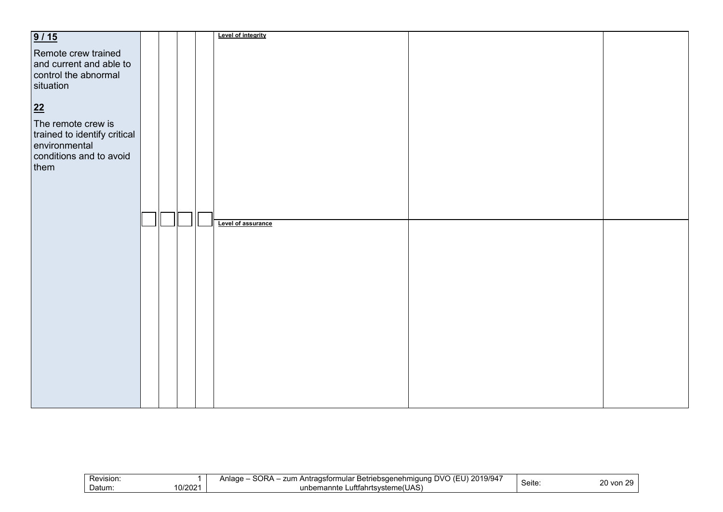| 9/15                         |  |  | Level of integrity |  |
|------------------------------|--|--|--------------------|--|
|                              |  |  |                    |  |
| Remote crew trained          |  |  |                    |  |
|                              |  |  |                    |  |
| and current and able to      |  |  |                    |  |
| control the abnormal         |  |  |                    |  |
|                              |  |  |                    |  |
| situation                    |  |  |                    |  |
|                              |  |  |                    |  |
|                              |  |  |                    |  |
| $\overline{22}$              |  |  |                    |  |
| The remote crew is           |  |  |                    |  |
|                              |  |  |                    |  |
| trained to identify critical |  |  |                    |  |
| environmental                |  |  |                    |  |
|                              |  |  |                    |  |
| conditions and to avoid      |  |  |                    |  |
| them                         |  |  |                    |  |
|                              |  |  |                    |  |
|                              |  |  |                    |  |
|                              |  |  |                    |  |
|                              |  |  |                    |  |
|                              |  |  |                    |  |
|                              |  |  |                    |  |
|                              |  |  | Level of assurance |  |
|                              |  |  |                    |  |
|                              |  |  |                    |  |
|                              |  |  |                    |  |
|                              |  |  |                    |  |
|                              |  |  |                    |  |
|                              |  |  |                    |  |
|                              |  |  |                    |  |
|                              |  |  |                    |  |
|                              |  |  |                    |  |
|                              |  |  |                    |  |
|                              |  |  |                    |  |
|                              |  |  |                    |  |
|                              |  |  |                    |  |
|                              |  |  |                    |  |
|                              |  |  |                    |  |
|                              |  |  |                    |  |
|                              |  |  |                    |  |
|                              |  |  |                    |  |
|                              |  |  |                    |  |
|                              |  |  |                    |  |
|                              |  |  |                    |  |
|                              |  |  |                    |  |
|                              |  |  |                    |  |

| Revision.        | 101017<br>SORA<br>OVC<br>zum<br>Betriebsgenehmigung<br>raɑsformular<br>Anlade<br>19/94<br>้า Antrau<br>. .<br>. . | $\sim$ $\sim$ | $\sim$<br>-- |
|------------------|-------------------------------------------------------------------------------------------------------------------|---------------|--------------|
| 0/2021<br>Datum: | $\cdots$<br><br>าrtsvsteme(UAS`<br>unbemannte<br>∟utttah:                                                         | Seite         | 20 von       |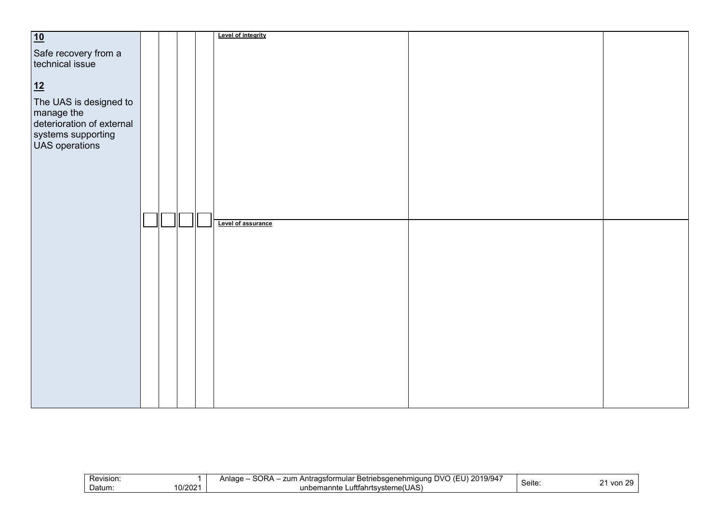| 10                                      |  |   | Level of integrity |  |
|-----------------------------------------|--|---|--------------------|--|
|                                         |  |   |                    |  |
| Safe recovery from a                    |  |   |                    |  |
| technical issue                         |  |   |                    |  |
|                                         |  |   |                    |  |
|                                         |  |   |                    |  |
| 12                                      |  |   |                    |  |
| The UAS is designed to                  |  |   |                    |  |
|                                         |  |   |                    |  |
| manage the<br>deterioration of external |  |   |                    |  |
|                                         |  |   |                    |  |
| systems supporting                      |  |   |                    |  |
| <b>UAS</b> operations                   |  |   |                    |  |
|                                         |  |   |                    |  |
|                                         |  |   |                    |  |
|                                         |  |   |                    |  |
|                                         |  |   |                    |  |
|                                         |  |   |                    |  |
|                                         |  |   |                    |  |
|                                         |  |   |                    |  |
|                                         |  | Ш | Level of assurance |  |
|                                         |  |   |                    |  |
|                                         |  |   |                    |  |
|                                         |  |   |                    |  |
|                                         |  |   |                    |  |
|                                         |  |   |                    |  |
|                                         |  |   |                    |  |
|                                         |  |   |                    |  |
|                                         |  |   |                    |  |
|                                         |  |   |                    |  |
|                                         |  |   |                    |  |
|                                         |  |   |                    |  |
|                                         |  |   |                    |  |
|                                         |  |   |                    |  |
|                                         |  |   |                    |  |
|                                         |  |   |                    |  |
|                                         |  |   |                    |  |
|                                         |  |   |                    |  |
|                                         |  |   |                    |  |
|                                         |  |   |                    |  |
|                                         |  |   |                    |  |

| Revision:                   | <b>SODA</b><br>$\sim$ $\sim$ $\sim$<br>2019/94<br>zum<br>N<br>⊦Antraɑsformular<br>∍صصادی<br>* Betriebsaenehmiauna :<br>⊺ t⊢t i<br>שαuר<br>ouna<br>ີ |       | - -           |
|-----------------------------|-----------------------------------------------------------------------------------------------------------------------------------------------------|-------|---------------|
| 10/2021<br>Datum:<br>10/202 | ∟uftfahrtsvsteme(UAS)<br>unbemannte<br>110                                                                                                          | Seite | von<br>$\sim$ |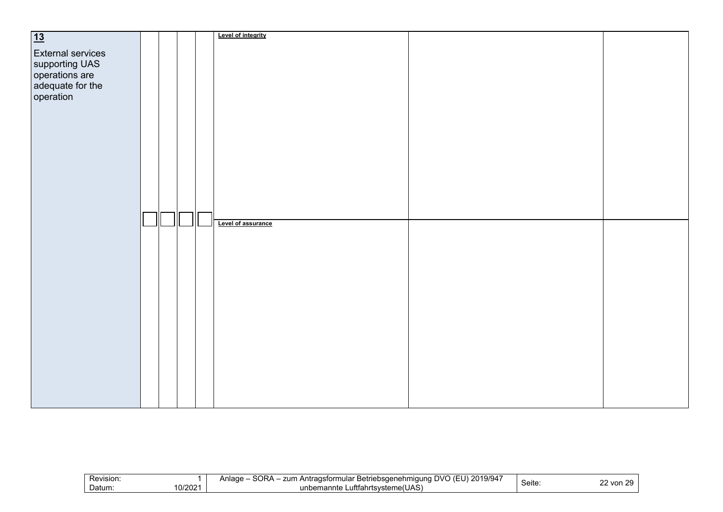| $\overline{13}$                                                                                                 |  |  | Level of integrity |  |
|-----------------------------------------------------------------------------------------------------------------|--|--|--------------------|--|
| <b>External services</b><br>supporting UAS<br>supporting UAS<br>operations are<br>adequate for the<br>operation |  |  |                    |  |
|                                                                                                                 |  |  |                    |  |
|                                                                                                                 |  |  | Level of assurance |  |
|                                                                                                                 |  |  |                    |  |

|  | Revision:<br>0.0004<br>Datum:<br>UIZUZ | $\sim$ $\sim$ $\sim$ $\sim$<br>CODA<br>. 201<br>.<br>zum<br>(F <sup>t</sup> )<br>⊤Antragsformular F<br>∴ Betriebsaenehmiauna<br>Anlage<br>19/94<br>DVC<br>oura<br>$\sim$<br>Luftfahrtsvsteme(UAS)<br>unbemannte | Seite | $\sim$<br>$\sim$ $\sim$<br>2 von<br>$\epsilon$ |
|--|----------------------------------------|-----------------------------------------------------------------------------------------------------------------------------------------------------------------------------------------------------------------|-------|------------------------------------------------|
|--|----------------------------------------|-----------------------------------------------------------------------------------------------------------------------------------------------------------------------------------------------------------------|-------|------------------------------------------------|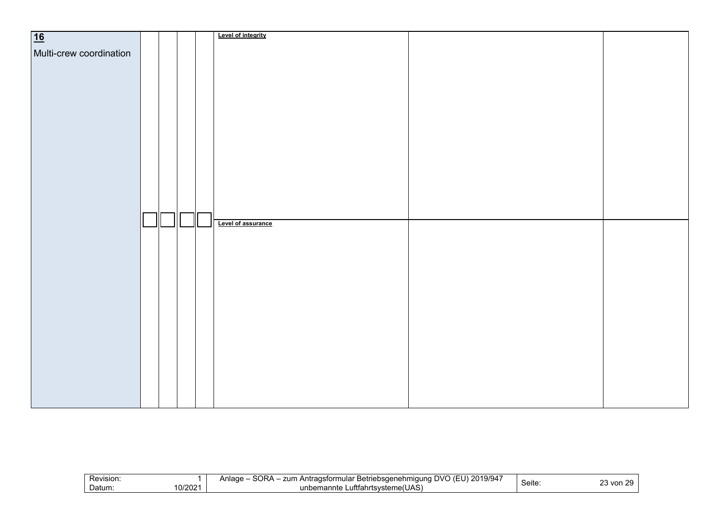| $\overline{16}$         |   |  | <b>Level of integrity</b> |  |
|-------------------------|---|--|---------------------------|--|
|                         |   |  |                           |  |
| Multi-crew coordination |   |  |                           |  |
|                         |   |  |                           |  |
|                         |   |  |                           |  |
|                         |   |  |                           |  |
|                         |   |  |                           |  |
|                         |   |  |                           |  |
|                         |   |  |                           |  |
|                         |   |  |                           |  |
|                         |   |  |                           |  |
|                         |   |  |                           |  |
|                         |   |  |                           |  |
|                         |   |  |                           |  |
|                         |   |  |                           |  |
|                         |   |  |                           |  |
|                         |   |  |                           |  |
|                         |   |  |                           |  |
|                         |   |  |                           |  |
|                         |   |  |                           |  |
|                         |   |  |                           |  |
|                         |   |  |                           |  |
|                         |   |  |                           |  |
|                         |   |  |                           |  |
|                         | Ш |  | Level of assurance        |  |
|                         |   |  |                           |  |
|                         |   |  |                           |  |
|                         |   |  |                           |  |
|                         |   |  |                           |  |
|                         |   |  |                           |  |
|                         |   |  |                           |  |
|                         |   |  |                           |  |
|                         |   |  |                           |  |
|                         |   |  |                           |  |
|                         |   |  |                           |  |
|                         |   |  |                           |  |
|                         |   |  |                           |  |
|                         |   |  |                           |  |
|                         |   |  |                           |  |
|                         |   |  |                           |  |
|                         |   |  |                           |  |
|                         |   |  |                           |  |
|                         |   |  |                           |  |
|                         |   |  |                           |  |
|                         |   |  |                           |  |
|                         |   |  |                           |  |
|                         |   |  |                           |  |
|                         |   |  |                           |  |
|                         |   |  |                           |  |

| Revision:                   | <b>SORA</b><br>2019/947<br>zun<br>$\sim$<br>عصواه<br><sup>.</sup> Betriebsaenehmiauna<br>ı Antradsformular<br>aade.<br>$\overline{\phantom{a}}$<br>יו ד<br>. . |       | $\sim$<br>$\sim$<br>w |
|-----------------------------|----------------------------------------------------------------------------------------------------------------------------------------------------------------|-------|-----------------------|
| 1010011<br>Datum:<br>10/202 | Luftfahrtsvsteme(UAS)<br>unbemannte<br>не                                                                                                                      | Seite | von<br>້              |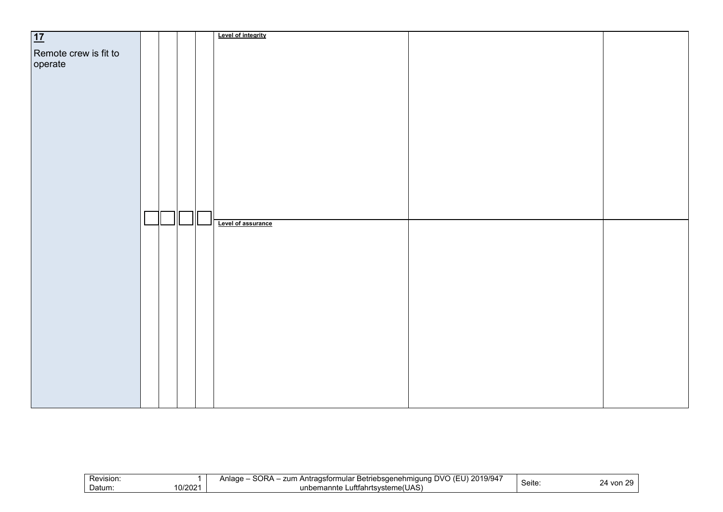| 17                               |  |  | Level of integrity |  |
|----------------------------------|--|--|--------------------|--|
| Remote crew is fit to<br>operate |  |  |                    |  |
|                                  |  |  |                    |  |
|                                  |  |  |                    |  |
|                                  |  |  |                    |  |
|                                  |  |  |                    |  |
|                                  |  |  |                    |  |
|                                  |  |  |                    |  |
|                                  |  |  |                    |  |
|                                  |  |  |                    |  |
|                                  |  |  | Level of assurance |  |
|                                  |  |  |                    |  |
|                                  |  |  |                    |  |
|                                  |  |  |                    |  |
|                                  |  |  |                    |  |
|                                  |  |  |                    |  |
|                                  |  |  |                    |  |
|                                  |  |  |                    |  |
|                                  |  |  |                    |  |
|                                  |  |  |                    |  |
|                                  |  |  |                    |  |

| Revision:         | SORA<br>101010<br>2019/94<br>.<br>zum<br>Anlade<br>JVL.<br>∴ Antraɑsformular ا ،<br><sup>.</sup> Betriebsaenehmiauna<br>. . |       |                          |
|-------------------|-----------------------------------------------------------------------------------------------------------------------------|-------|--------------------------|
| 10/2021<br>Datum: | ∟uftfahrtsvsteme(UAS)<br>unbemannte                                                                                         | Seite | von<br>╯<br>∕⊔<br>$\sim$ |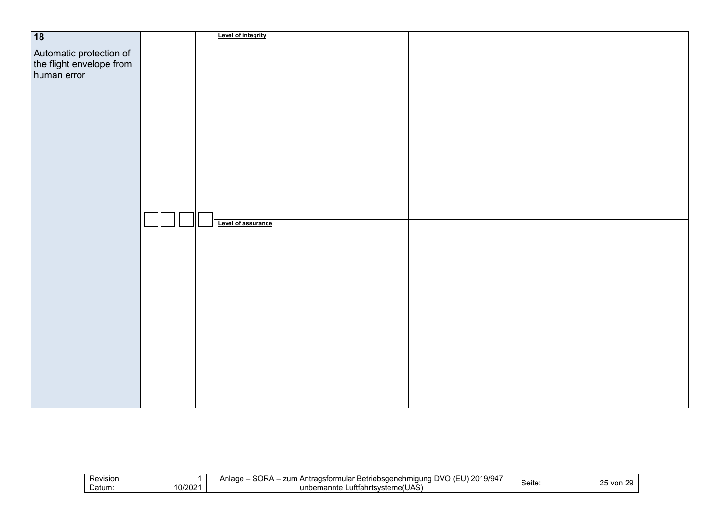| 18                                                                 |  |              | Level of integrity |  |
|--------------------------------------------------------------------|--|--------------|--------------------|--|
|                                                                    |  |              |                    |  |
|                                                                    |  |              |                    |  |
|                                                                    |  |              |                    |  |
| Automatic protection of<br>the flight envelope from<br>human error |  |              |                    |  |
|                                                                    |  |              |                    |  |
|                                                                    |  |              |                    |  |
|                                                                    |  |              |                    |  |
|                                                                    |  |              |                    |  |
|                                                                    |  |              |                    |  |
|                                                                    |  |              |                    |  |
|                                                                    |  |              |                    |  |
|                                                                    |  |              |                    |  |
|                                                                    |  |              |                    |  |
|                                                                    |  |              |                    |  |
|                                                                    |  |              |                    |  |
|                                                                    |  |              |                    |  |
|                                                                    |  |              |                    |  |
|                                                                    |  |              |                    |  |
|                                                                    |  |              |                    |  |
|                                                                    |  | $\mathsf{I}$ | Level of assurance |  |
|                                                                    |  |              |                    |  |
|                                                                    |  |              |                    |  |
|                                                                    |  |              |                    |  |
|                                                                    |  |              |                    |  |
|                                                                    |  |              |                    |  |
|                                                                    |  |              |                    |  |
|                                                                    |  |              |                    |  |
|                                                                    |  |              |                    |  |
|                                                                    |  |              |                    |  |
|                                                                    |  |              |                    |  |
|                                                                    |  |              |                    |  |
|                                                                    |  |              |                    |  |
|                                                                    |  |              |                    |  |
|                                                                    |  |              |                    |  |
|                                                                    |  |              |                    |  |
|                                                                    |  |              |                    |  |
|                                                                    |  |              |                    |  |
|                                                                    |  |              |                    |  |
|                                                                    |  |              |                    |  |
|                                                                    |  |              |                    |  |

| Revision: | CDA<br>101010<br>2019/94<br>zum<br>UV)،<br>. Antragsformular<br>∖nlaɑ∈<br>r Betriebsaenehmiauna<br>ouna<br>. . | $\overline{\phantom{a}}$ | っに<br>$\sim$<br>, J |
|-----------|----------------------------------------------------------------------------------------------------------------|--------------------------|---------------------|
| 0/2021    | ∟uftfahrtsvsteme(UAS)                                                                                          | Seite:                   | von                 |
| Datum:    | unbemannte                                                                                                     |                          | ້                   |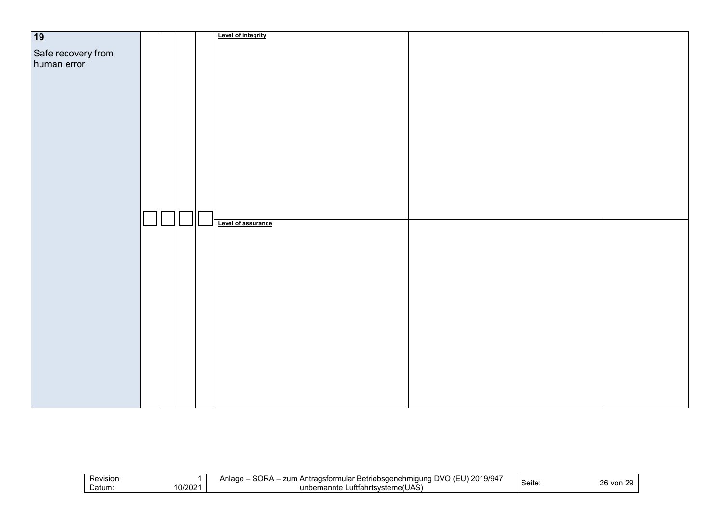| 19                 |  |  | Level of integrity |  |
|--------------------|--|--|--------------------|--|
| Safe recovery from |  |  |                    |  |
| human error        |  |  |                    |  |
|                    |  |  |                    |  |
|                    |  |  |                    |  |
|                    |  |  |                    |  |
|                    |  |  |                    |  |
|                    |  |  |                    |  |
|                    |  |  |                    |  |
|                    |  |  |                    |  |
|                    |  |  |                    |  |
|                    |  |  |                    |  |
|                    |  |  |                    |  |
|                    |  |  |                    |  |
|                    |  |  |                    |  |
|                    |  |  |                    |  |
|                    |  |  | Level of assurance |  |
|                    |  |  |                    |  |
|                    |  |  |                    |  |
|                    |  |  |                    |  |
|                    |  |  |                    |  |
|                    |  |  |                    |  |
|                    |  |  |                    |  |
|                    |  |  |                    |  |
|                    |  |  |                    |  |
|                    |  |  |                    |  |
|                    |  |  |                    |  |
|                    |  |  |                    |  |
|                    |  |  |                    |  |
|                    |  |  |                    |  |
|                    |  |  |                    |  |
|                    |  |  |                    |  |

| SORA<br>$\sim$ $\sim$ $\sim$<br>2019/94<br>Revision:<br>zum<br>a Antragsformular '<br>ar Betriebsdenehm'<br>⊿nlaαe<br>$\overline{111}$<br>nauna<br>. .<br>10/2021<br>∟uftfahrtsvste<br>Datum:<br>unbemannte<br>∵steme(UAS, | --<br>ピヘけへ<br><b>Seite</b> | วค<br>- -<br>von |
|----------------------------------------------------------------------------------------------------------------------------------------------------------------------------------------------------------------------------|----------------------------|------------------|
|----------------------------------------------------------------------------------------------------------------------------------------------------------------------------------------------------------------------------|----------------------------|------------------|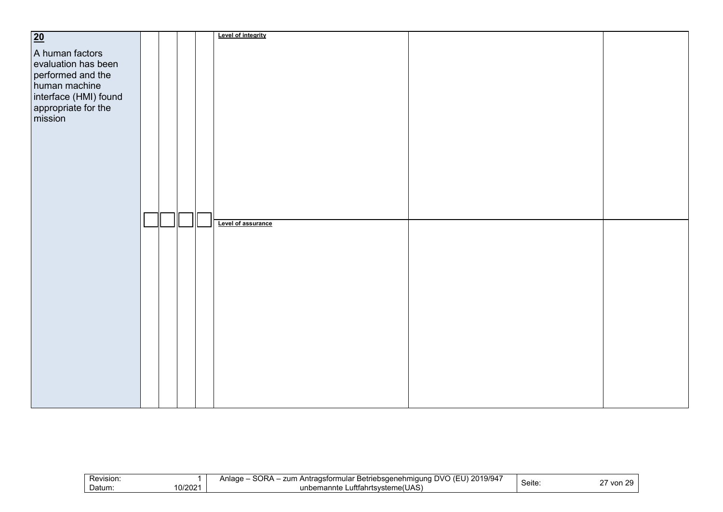| $\overline{20}$                |  |   | Level of integrity |  |
|--------------------------------|--|---|--------------------|--|
|                                |  |   |                    |  |
| A human factors                |  |   |                    |  |
| evaluation has been            |  |   |                    |  |
| performed and the              |  |   |                    |  |
| human machine                  |  |   |                    |  |
| interface (HMI) found          |  |   |                    |  |
| appropriate for the<br>mission |  |   |                    |  |
|                                |  |   |                    |  |
|                                |  |   |                    |  |
|                                |  |   |                    |  |
|                                |  |   |                    |  |
|                                |  |   |                    |  |
|                                |  |   |                    |  |
|                                |  |   |                    |  |
|                                |  |   |                    |  |
|                                |  |   |                    |  |
|                                |  |   |                    |  |
|                                |  | Ш | Level of assurance |  |
|                                |  |   |                    |  |
|                                |  |   |                    |  |
|                                |  |   |                    |  |
|                                |  |   |                    |  |
|                                |  |   |                    |  |
|                                |  |   |                    |  |
|                                |  |   |                    |  |
|                                |  |   |                    |  |
|                                |  |   |                    |  |
|                                |  |   |                    |  |
|                                |  |   |                    |  |
|                                |  |   |                    |  |
|                                |  |   |                    |  |
|                                |  |   |                    |  |
|                                |  |   |                    |  |
|                                |  |   |                    |  |
|                                |  |   |                    |  |
|                                |  |   |                    |  |

| -<br>Revision:   | SORA -<br>101010<br>1 F<br>2019/94<br>ו⁄ור<br>zun<br>.nloar<br>… Antragstorm<br>triebsaenehmiauna<br>-Betr<br>nular<br>$\mathbf{I}$ $\mathbf{I}$<br>⊣⊔aut<br>. .<br>. . |       | $\sim$ $-$<br>$\sim$ $\sim$ |
|------------------|-------------------------------------------------------------------------------------------------------------------------------------------------------------------------|-------|-----------------------------|
| 0/2021<br>Datum: | Luftfahrtsvsteme(UAS)<br>unbemanntr<br>.                                                                                                                                | Seite | von.<br>╯<br>$\sim$         |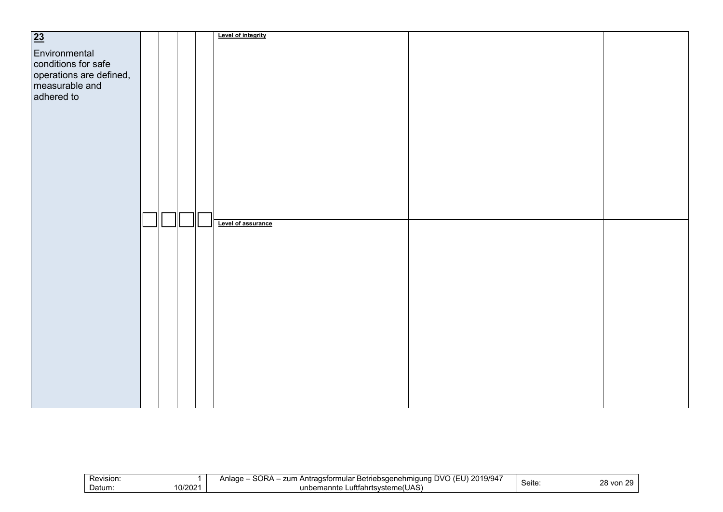| 23                                                                                              |  |  | Level of integrity |  |
|-------------------------------------------------------------------------------------------------|--|--|--------------------|--|
| Environmental<br>conditions for safe<br>operations are defined,<br>measurable and<br>adhered to |  |  |                    |  |
|                                                                                                 |  |  |                    |  |
|                                                                                                 |  |  |                    |  |
|                                                                                                 |  |  | Level of assurance |  |
|                                                                                                 |  |  |                    |  |
|                                                                                                 |  |  |                    |  |
|                                                                                                 |  |  |                    |  |
|                                                                                                 |  |  |                    |  |

| -<br>Revision:   | SORA -<br>101010<br>1 F<br>2019/94<br>ו⁄ור<br>zun<br>.nloar<br>… Antradsform<br>triebsaenehmiauna<br>-Betr<br>nular<br>$\mathbf{I}$ $\mathbf{I}$<br>⊣⊔aut<br>. .<br>. . |       | ററ<br>$\sim$               |
|------------------|-------------------------------------------------------------------------------------------------------------------------------------------------------------------------|-------|----------------------------|
| 0/2021<br>Datum: | Luftfahrtsvsteme(UAS)<br>unbemanntr<br>.                                                                                                                                | Seite | vor<br><b>16</b><br>$\sim$ |